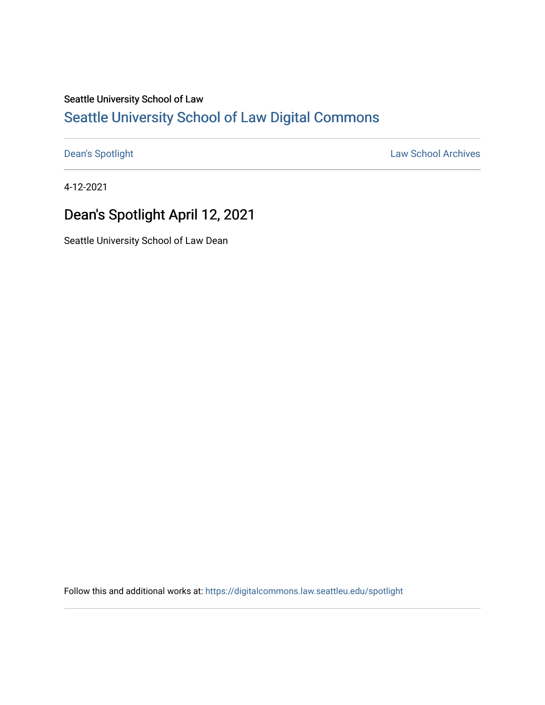# Seattle University School of Law [Seattle University School of Law Digital Commons](https://digitalcommons.law.seattleu.edu/)

[Dean's Spotlight](https://digitalcommons.law.seattleu.edu/spotlight) **Law School Archives** 

4-12-2021

# Dean's Spotlight April 12, 2021

Seattle University School of Law Dean

Follow this and additional works at: [https://digitalcommons.law.seattleu.edu/spotlight](https://digitalcommons.law.seattleu.edu/spotlight?utm_source=digitalcommons.law.seattleu.edu%2Fspotlight%2F163&utm_medium=PDF&utm_campaign=PDFCoverPages)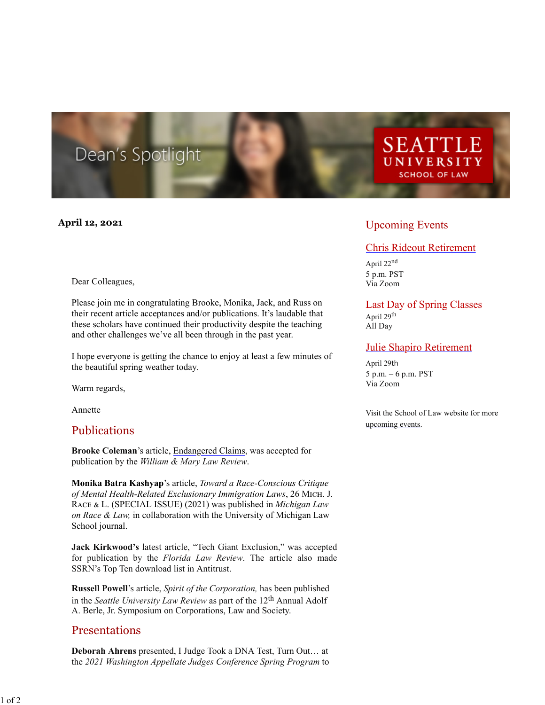# Dean's Spotlight

#### **April 12, 2021**

#### Dear Colleagues,

Please join me in congratulating Brooke, Monika, Jack, and Russ on their recent article acceptances and/or publications. It's laudable that these scholars have continued their productivity despite the teaching and other challenges we've all been through in the past year.

I hope everyone is getting the chance to enjoy at least a few minutes of the beautiful spring weather today.

Warm regards,

Annette

#### Publications

**Brooke Coleman**'s article, [Endangered Claims,](https://courtslaw.jotwell.com/) was accepted for publication by the *William & Mary Law Review*.

**Monika Batra Kashyap**'s article, *Toward a Race-Conscious Critique of Mental Health-Related Exclusionary Immigration Laws*, 26 M���. J. RACE & L. (SPECIAL ISSUE) (2021) was published in *Michigan Law on Race & Law,* in collaboration with the University of Michigan Law School journal.

**Jack Kirkwood's** latest article, "Tech Giant Exclusion," was accepted for publication by the *Florida Law Review*. The article also made SSRN's Top Ten download list in Antitrust.

**Russell Powell**'s article, *Spirit of the Corporation,* has been published in the *Seattle University Law Review* as part of the 12th Annual Adolf A. Berle, Jr. Symposium on Corporations, Law and Society.

#### Presentations

**Deborah Ahrens** presented, I Judge Took a DNA Test, Turn Out… at the *2021 Washington Appellate Judges Conference Spring Program* to

## Upcoming Events

#### [Chris Rideout Retirement](https://law.seattleu.edu/chris-rideout-retirement)

**SEATTLE** 

UNIVERSITY **SCHOOL OF LAW** 

April 22nd 5 p.m. PST Via Zoom

### [Last Day of Spring Classes](https://law.seattleu.edu/last-class-day-x24446)

April 29th All Day

#### [Julie Shapiro Retirement](https://law.seattleu.edu/julie-shapiro-retirement)

April 29th 5 p.m. – 6 p.m. PST Via Zoom

Visit the School of Law website for more [upcoming events.](https://nam02.safelinks.protection.outlook.com/?url=https%3A%2F%2Flaw.seattleu.edu%2Fcalendar%3Fview%3Dmonth&data=02%7C01%7Cspoorlaura%40seattleu.edu%7C575d414b422c46bce70a08d7ae64fea7%7Cbc10e052b01c48499967ee7ec74fc9d8%7C0%7C0%7C637169621116277174&sdata=pWA9QwpVEEU7tKyxjXgjJfkQ2TdDeEGf7q2KppbfjTg%3D&reserved=0)